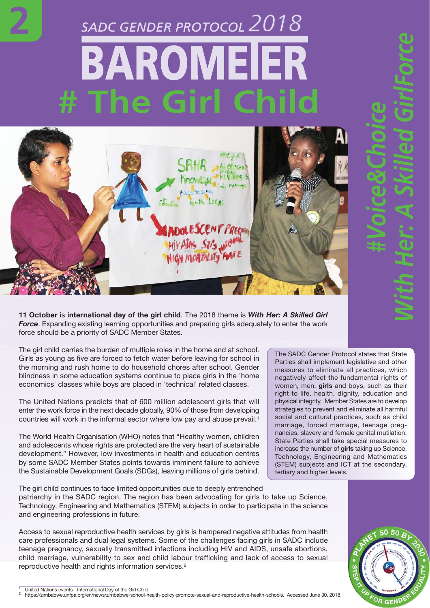## *2018* BAROMEIER **# The Girl Child**

**2**



**11 October** is **international day of the girl child**. The 2018 theme is *With Her: A Skilled Girl Force*. Expanding existing learning opportunities and preparing girls adequately to enter the work force should be a priority of SADC Member States.

The girl child carries the burden of multiple roles in the home and at school. Girls as young as five are forced to fetch water before leaving for school in the morning and rush home to do household chores after school. Gender blindness in some education systems continue to place girls in the 'home economics' classes while boys are placed in 'technical' related classes.

The United Nations predicts that of 600 million adolescent girls that will enter the work force in the next decade globally, 90% of those from developing countries will work in the informal sector where low pay and abuse prevail.<sup>1</sup>

The World Health Organisation (WHO) notes that "Healthy women, children and adolescents whose rights are protected are the very heart of sustainable development." However, low investments in health and education centres by some SADC Member States points towards imminent failure to achieve the Sustainable Development Goals (SDGs), leaving millions of girls behind. The SADC Gender Protocol states that State Parties shall implement legislative and other measures to eliminate all practices, which negatively affect the fundamental rights of women, men, **girls** and boys, such as their right to life, health, dignity, education and physical integrity. Member States are to develop strategies to prevent and eliminate all harmful social and cultural practices, such as child marriage, forced marriage, teenage pregnancies, slavery and female genital mutilation. State Parties shall take special measures to increase the number of **girls** taking up Science, Technology, Engineering and Mathematics (STEM) subjects and ICT at the secondary, tertiary and higher levels.

*#Voice&Choice*

*With Her: A Skilled GirlForce*

The girl child continues to face limited opportunities due to deeply entrenched patriarchy in the SADC region. The region has been advocating for girls to take up Science, Technology, Engineering and Mathematics (STEM) subjects in order to participate in the science and engineering professions in future.

Access to sexual reproductive health services by girls is hampered negative attitudes from health care professionals and dual legal systems. Some of the challenges facing girls in SADC include teenage pregnancy, sexually transmitted infections including HIV and AIDS, unsafe abortions, child marriage, vulnerability to sex and child labour trafficking and lack of access to sexual reproductive health and rights information services.2

 $\frac{1}{2}$  United Nations events - International Day of the Girl Child.<br>
2 https://zimbabwe.unfpa.org/en/news/zimbabwe-school-health-policy-promote-sexual-and-reproductive-health-schools. Accessed June 30, 2018.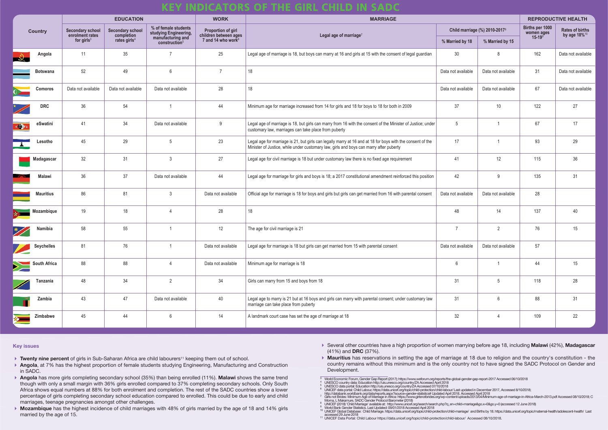## **KEY INDICATORS OF THE GIRL CHILD IN SADC**

- ▶ Twenty nine percent of girls in Sub-Saharan Africa are child labourers<sup>11</sup> keeping them out of school.
- **Angola**, at 7% has the highest proportion of female students studying Engineering, Manufacturing and Construction in SADC.
- **Angola** has more girls completing secondary school (35%) than being enrolled (11%). **Malawi** shows the same trend though with only a small margin with 36% girls enrolled compared to 37% completing secondary schools. Only South Africa shows equal numbers at 88% for both enrolment and completion. The rest of the SADC countries show a lower percentage of girls completing secondary school education compared to enrolled. This could be due to early and child marriages, teenage pregnancies amongst other challenges.
- **Mozambique** has the highest incidence of child marriages with 48% of girls married by the age of 18 and 14% girls married by the age of 15.

| <b>Country</b>      | <b>EDUCATION</b>                                            |                                                                   |                                                                                                 | <b>WORK</b>                                                                          | <b>MARRIAGE</b>                                                                                                                                                                                      |                               |                    | <b>REPRODUCTIVE HEALTH</b>                     |                                                    |
|---------------------|-------------------------------------------------------------|-------------------------------------------------------------------|-------------------------------------------------------------------------------------------------|--------------------------------------------------------------------------------------|------------------------------------------------------------------------------------------------------------------------------------------------------------------------------------------------------|-------------------------------|--------------------|------------------------------------------------|----------------------------------------------------|
|                     | <b>Secondary school</b><br>enrolment rates<br>for girls $3$ | <b>Secondary school</b><br>completion<br>rates girls <sup>4</sup> | % of female students<br>studying Engineering,<br>manufacturing and<br>construction <sup>5</sup> | <b>Proportion of girl</b><br>children between ages<br>7 and 14 who work <sup>6</sup> | Legal age of marriage <sup>7</sup>                                                                                                                                                                   | Child marriage (%) 2010-20178 |                    | Births per 1000<br>women ages<br>$15-19^\circ$ | <b>Rates of births</b><br>by age 18% <sup>10</sup> |
|                     |                                                             |                                                                   |                                                                                                 |                                                                                      |                                                                                                                                                                                                      | % Married by 18               | % Married by 15    |                                                |                                                    |
| Angola              | 11                                                          | 35                                                                |                                                                                                 | 25                                                                                   | Legal age of marriage is 18, but boys can marry at 16 and girls at 15 with the consent of legal guardian                                                                                             | 30                            |                    | 162                                            | Data not available                                 |
| <b>Botswana</b>     | 52                                                          | 49                                                                | $6\phantom{.}6$                                                                                 | $\overline{7}$                                                                       | 18                                                                                                                                                                                                   | Data not available            | Data not available | 31                                             | Data not available                                 |
| <b>Comoros</b>      | Data not available                                          | Data not available                                                | Data not available                                                                              | 28                                                                                   | 18                                                                                                                                                                                                   | Data not available            | Data not available | 67                                             | Data not available                                 |
| <b>DRC</b>          | 36                                                          | 54                                                                |                                                                                                 | 44                                                                                   | Minimum age for marriage increased from 14 for girls and 18 for boys to 18 for both in 2009                                                                                                          | 37                            | 10                 | 122                                            | 27                                                 |
| eSwatini<br>$\cdot$ | 41                                                          | 34                                                                | Data not available                                                                              | 9                                                                                    | Legal age of marriage is 18, but girls can marry from 16 with the consent of the Minister of Justice; under<br>customary law, marriages can take place from puberty                                  | 5                             |                    | 67                                             | 17                                                 |
| Lesotho             | 45                                                          | 29                                                                | $5\phantom{.0}$                                                                                 | 23                                                                                   | Legal age for marriage is 21, but girls can legally marry at 16 and at 18 for boys with the consent of the<br>Minister of Justice, while under customary law, girls and boys can marry after puberty | 17                            |                    | 93                                             | 29                                                 |
| Madagascar          | 32                                                          | 31                                                                | 3                                                                                               | 27                                                                                   | Legal age for civil marriage is 18 but under customary law there is no fixed age requirement                                                                                                         | 41                            | 12                 | 115                                            | 36                                                 |
| <b>Malawi</b>       | 36                                                          | 37                                                                | Data not available                                                                              | 44                                                                                   | Legal age for marriage for girls and boys is 18; a 2017 constitutional amendment reinforced this position                                                                                            | 42                            | <b>q</b>           | 135                                            | 31                                                 |
| <b>Mauritius</b>    | 86                                                          | 81                                                                | $\mathbf{3}$                                                                                    | Data not available                                                                   | Official age for marriage is 18 for boys and girls but girls can get married from 16 with parental consent                                                                                           | Data not available            | Data not available | 28                                             |                                                    |
| Mozambique          | 19                                                          | 18                                                                |                                                                                                 | 28                                                                                   | 18                                                                                                                                                                                                   | 48                            | 14                 | 137                                            | 40                                                 |
| Namibia             | 58                                                          | 55                                                                |                                                                                                 | 12                                                                                   | The age for civil marriage is 21                                                                                                                                                                     | $\overline{7}$                | $\overline{2}$     | 76                                             | 15                                                 |
| <b>Seychelles</b>   | 81                                                          | 76                                                                |                                                                                                 | Data not available                                                                   | Legal age for marriage is 18 but girls can get married from 15 with parental consent                                                                                                                 | Data not available            | Data not available | 57                                             |                                                    |
| <b>South Africa</b> | 88                                                          | 88                                                                | $\overline{4}$                                                                                  | Data not available                                                                   | Minimum age for marriage is 18                                                                                                                                                                       | 6                             |                    | 44                                             | 15                                                 |
| Tanzania            | 48                                                          | 34                                                                | 2                                                                                               | 34                                                                                   | Girls can marry from 15 and boys from 18                                                                                                                                                             | 31                            | -5                 | 118                                            | 28                                                 |
| Zambia              | 43                                                          | 47                                                                | Data not available                                                                              | 40                                                                                   | Legal age to marry is 21 but at 16 boys and girls can marry with parental consent; under customary law<br>marriage can take place from puberty                                                       | 31                            | 6                  | 88                                             | 31                                                 |
| Zimbabwe            | 45                                                          | 44                                                                | $6\phantom{.}6$                                                                                 | 14                                                                                   | A landmark court case has set the age of marriage at 18                                                                                                                                              | 32                            | $\overline{4}$     | 109                                            | 22                                                 |

- Several other countries have a high proportion of women marrying before age 18, including **Malawi** (42%), **Madagascar** (41%) and **DRC** (37%).
- Development.
- $\begin{array}{l} \text{3} \quad \text{World Economic Forum, Gender Gap Report (2017); \text{https://www.weforum.org/reports/the-global-gender-gap-report-2017 Accessed 06/10/2018} \\ \text{4} \quad \text{UNESCO country data: Education http://uis.unesco.org/country/ZA Accessed April 2018} \\ \text{5} \quad \text{UNESCO data portal: Education http://uis.unesco.org/country/ZA Accessed April 2018} \\ \text{6} \quad \text{UNIESCO data portal: Children. \text{https://dita.unicef.org/country/ZA Accessed 07/10/2018}} \\ \text{6} \quad \text{UNICEF data portal: Children. \text{$
- 
- 
- http://databank.worldbank.org/data/reports.aspx?source=gender-statistics# Updated April 2018. Accessed April 2018<br><sup>7</sup> Girls not Brides: Minimum Age of Marriage in Africa: https://www.girlsnotbrides.org/wp-content/uploads
	-
	- Morna, L. Makamure, SADC Gender Protocol Barometer (2018)<br><sup>8</sup> UNICEF (2018) 'Child Marriage' available at: http://www.unicef.org/search/search.php?q\_en=child+marriage&go.x=0&go.y=0 (accessed 12 June 2018)<br><sup>9</sup> World Bank Ge
	-
	- accessed 29 June 2018 <sup>11</sup> UNICEF Data Portal: Child Labour https://data.unicef.org/topic/child-protection/child-labour/ Accessed 08/10/2018.

 **Mauritius** has reservations in setting the age of marriage at 18 due to religion and the country's constitution - the country remains without this minimum and is the only country not to have signed the SADC Protocol on Gender and

## **Key issues**